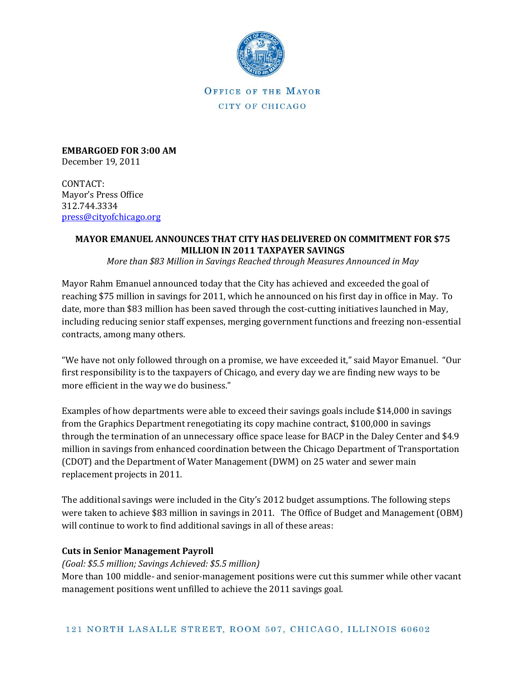

**EMBARGOED FOR 3:00 AM** December 19, 2011

CONTACT: Mayor's Press Office 312.744.3334 [press@cityofchicago.org](mailto:press@cityofchicago.org)

# **MAYOR EMANUEL ANNOUNCES THAT CITY HAS DELIVERED ON COMMITMENT FOR \$75 MILLION IN 2011 TAXPAYER SAVINGS**

*More than \$83 Million in Savings Reached through Measures Announced in May*

Mayor Rahm Emanuel announced today that the City has achieved and exceeded the goal of reaching \$75 million in savings for 2011, which he announced on his first day in office in May. To date, more than \$83 million has been saved through the cost-cutting initiatives launched in May, including reducing senior staff expenses, merging government functions and freezing non-essential contracts, among many others.

"We have not only followed through on a promise, we have exceeded it," said Mayor Emanuel. "Our first responsibility is to the taxpayers of Chicago, and every day we are finding new ways to be more efficient in the way we do business."

Examples of how departments were able to exceed their savings goals include \$14,000 in savings from the Graphics Department renegotiating its copy machine contract, \$100,000 in savings through the termination of an unnecessary office space lease for BACP in the Daley Center and \$4.9 million in savings from enhanced coordination between the Chicago Department of Transportation (CDOT) and the Department of Water Management (DWM) on 25 water and sewer main replacement projects in 2011.

The additional savings were included in the City's 2012 budget assumptions. The following steps were taken to achieve \$83 million in savings in 2011. The Office of Budget and Management (OBM) will continue to work to find additional savings in all of these areas:

### **Cuts in Senior Management Payroll**

*(Goal: \$5.5 million; Savings Achieved: \$5.5 million)* 

More than 100 middle- and senior-management positions were cut this summer while other vacant management positions went unfilled to achieve the 2011 savings goal.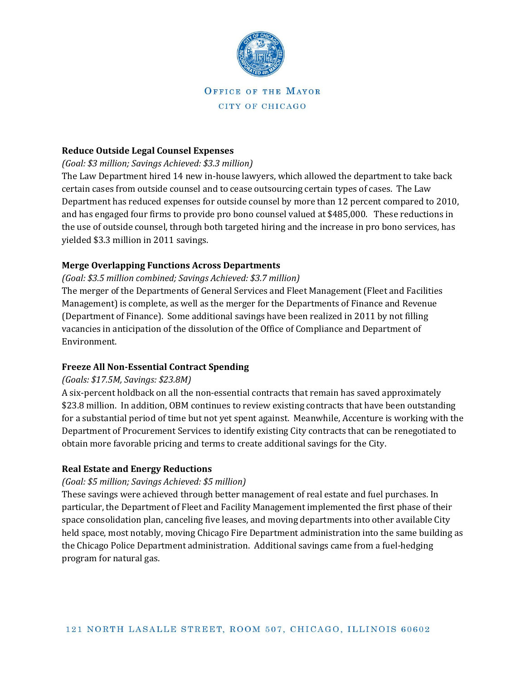

#### **Reduce Outside Legal Counsel Expenses**

#### *(Goal: \$3 million; Savings Achieved: \$3.3 million)*

The Law Department hired 14 new in-house lawyers, which allowed the department to take back certain cases from outside counsel and to cease outsourcing certain types of cases. The Law Department has reduced expenses for outside counsel by more than 12 percent compared to 2010, and has engaged four firms to provide pro bono counsel valued at \$485,000. These reductions in the use of outside counsel, through both targeted hiring and the increase in pro bono services, has yielded \$3.3 million in 2011 savings.

### **Merge Overlapping Functions Across Departments**

#### *(Goal: \$3.5 million combined; Savings Achieved: \$3.7 million)*

The merger of the Departments of General Services and Fleet Management (Fleet and Facilities Management) is complete, as well as the merger for the Departments of Finance and Revenue (Department of Finance). Some additional savings have been realized in 2011 by not filling vacancies in anticipation of the dissolution of the Office of Compliance and Department of Environment.

### **Freeze All Non-Essential Contract Spending**

### *(Goals: \$17.5M, Savings: \$23.8M)*

A six-percent holdback on all the non-essential contracts that remain has saved approximately \$23.8 million. In addition, OBM continues to review existing contracts that have been outstanding for a substantial period of time but not yet spent against. Meanwhile, Accenture is working with the Department of Procurement Services to identify existing City contracts that can be renegotiated to obtain more favorable pricing and terms to create additional savings for the City.

### **Real Estate and Energy Reductions**

### *(Goal: \$5 million; Savings Achieved: \$5 million)*

These savings were achieved through better management of real estate and fuel purchases. In particular, the Department of Fleet and Facility Management implemented the first phase of their space consolidation plan, canceling five leases, and moving departments into other available City held space, most notably, moving Chicago Fire Department administration into the same building as the Chicago Police Department administration. Additional savings came from a fuel-hedging program for natural gas.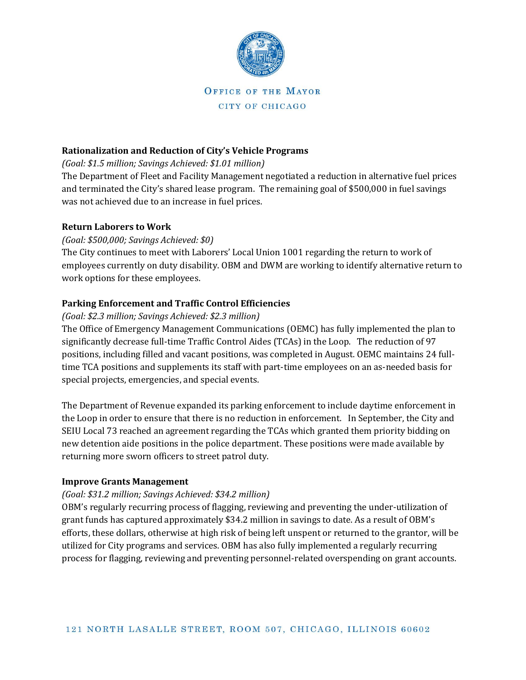

### **Rationalization and Reduction of City's Vehicle Programs**

*(Goal: \$1.5 million; Savings Achieved: \$1.01 million)* 

The Department of Fleet and Facility Management negotiated a reduction in alternative fuel prices and terminated the City's shared lease program. The remaining goal of \$500,000 in fuel savings was not achieved due to an increase in fuel prices.

#### **Return Laborers to Work**

### *(Goal: \$500,000; Savings Achieved: \$0)*

The City continues to meet with Laborers' Local Union 1001 regarding the return to work of employees currently on duty disability. OBM and DWM are working to identify alternative return to work options for these employees.

### **Parking Enforcement and Traffic Control Efficiencies**

### *(Goal: \$2.3 million; Savings Achieved: \$2.3 million)*

The Office of Emergency Management Communications (OEMC) has fully implemented the plan to significantly decrease full-time Traffic Control Aides (TCAs) in the Loop. The reduction of 97 positions, including filled and vacant positions, was completed in August. OEMC maintains 24 fulltime TCA positions and supplements its staff with part-time employees on an as-needed basis for special projects, emergencies, and special events.

The Department of Revenue expanded its parking enforcement to include daytime enforcement in the Loop in order to ensure that there is no reduction in enforcement. In September, the City and SEIU Local 73 reached an agreement regarding the TCAs which granted them priority bidding on new detention aide positions in the police department. These positions were made available by returning more sworn officers to street patrol duty.

### **Improve Grants Management**

### *(Goal: \$31.2 million; Savings Achieved: \$34.2 million)*

OBM's regularly recurring process of flagging, reviewing and preventing the under-utilization of grant funds has captured approximately \$34.2 million in savings to date. As a result of OBM's efforts, these dollars, otherwise at high risk of being left unspent or returned to the grantor, will be utilized for City programs and services. OBM has also fully implemented a regularly recurring process for flagging, reviewing and preventing personnel-related overspending on grant accounts.